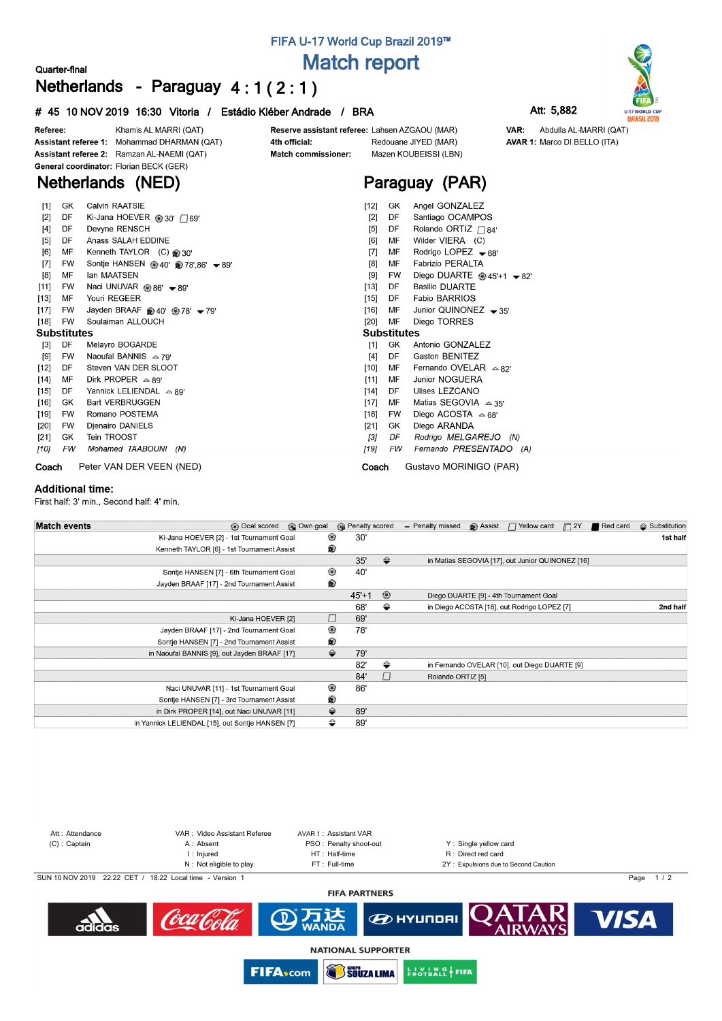# **FIFA U-17 World Cup Brazil 2019™ Match report**

 $DE$ 

**Substitutes** 

**MF** 

GK

 $DF$ 

FW

[1] GK

 $\left[ 15\right]$ 

 $[16]$ **MF** 

 $[20]$ **MF** 

> $[4]$ DE

 $[10]$ **MF** 

 $[11]$ 

 $\left[ 14\right]$ DF

 $[17]$ MF

 $[18]$ **FW** 

 $[21]$ 

 $\overline{3}$ 

 $[19]$ 

# **Quarter-final Netherlands - Paraguay 4 : 1 ( 2 : 1 )**

### **# 45 10 NOV 2019 16:30 Vitoria / Estádio Kléber Andrade / BRA Att: 5,882**





VAR: Abdulla AL-MARRI (QAT) **AVAR 1: Marco DI BELLO (ITA)** 

| Referee: |           | Khamis AL MARRI (QAT)                       | Reserve assistant referee: Lahsen AZGAOU (MAR) |                       |                      |                              |  |  |  |  |  |  |
|----------|-----------|---------------------------------------------|------------------------------------------------|-----------------------|----------------------|------------------------------|--|--|--|--|--|--|
|          |           | Assistant referee 1: Mohammad DHARMAN (QAT) | 4th official:                                  |                       | Redouane JIYED (MAR) |                              |  |  |  |  |  |  |
|          |           | Assistant referee 2: Ramzan AL-NAEMI (QAT)  | <b>Match commissioner:</b>                     | Mazen KOUBEISSI (LBN) |                      |                              |  |  |  |  |  |  |
|          |           | General coordinator: Florian BECK (GER)     |                                                |                       |                      |                              |  |  |  |  |  |  |
|          |           | Netherlands (NED)                           |                                                | Paraguay (PAR)        |                      |                              |  |  |  |  |  |  |
| $[1]$    | GK        | Calvin RAATSIE                              |                                                | [12]                  | GK.                  | Angel GONZALEZ               |  |  |  |  |  |  |
| $[2]$    | DF        | Ki-Jana HOEVER @ 30' $\bigcap$ 69'          |                                                | [2]                   | DF                   | Santiago OCAMPOS             |  |  |  |  |  |  |
| [4]      | DF        | Devyne RENSCH                               |                                                | [5]                   | DF                   | Rolando ORTIZ $\bigcap_{84}$ |  |  |  |  |  |  |
| [5]      | DF        | Anass SALAH EDDINE                          |                                                | [6]                   | МF                   | Wilder VIERA (C)             |  |  |  |  |  |  |
| [6]      | MF        | Kenneth TAYLOR $(C)$ $\otimes$ 30'          |                                                | [7]                   | MF                   | Rodrigo LOPEZ $\bullet$ 68'  |  |  |  |  |  |  |
| $[7]$    | <b>FW</b> | Sontje HANSEN @ 40' @ 78',86' → 89'         |                                                | [8]                   | МF                   | <b>Fabrizio PERALTA</b>      |  |  |  |  |  |  |
| [8]      | MF        | lan MAATSEN                                 |                                                | [9]                   | <b>FW</b>            | Diego DUARTE $@45'+1 - 82'$  |  |  |  |  |  |  |
| [11]     | FW        | Naci UNUVAR $\otimes$ 86' $\bullet$ 89'     |                                                | [13]                  | DF                   | <b>Basilio DUARTE</b>        |  |  |  |  |  |  |

### Naci UNUVAR ⊛86' <del>V</del> 89  $\left[ 13\right]$ **MF** Youri REGEER

 $[17]$ **FW** Jayden BRAAF @ 40' @ 78' - 79'

### $[18]$ **EW** Soulaiman ALLOUCH

- **Substitutes**
- Melayro BOGARDE  $[3]$  DF  $[9] % \begin{center} \includegraphics[width=\linewidth]{imagesSupplemental/Imetad-Architecture.png} \end{center} % \caption{The image shows the image shows a single number of three different types of the image. The three different types of the image is shown in the image.} \label{fig:2} %$ **FW** Naoufal BANNIS  $\triangle$  79'  $[12]$ DF Steven VAN DER SLOOT Dirk PROPER  $\triangle$  89' **MF**  $[14]$
- $[15]$ DF Yannick LELIENDAL △ 89'  $[16]$ GK **Bart VERBRUGGEN**  $[19]$ **FW** Romano POSTEMA
- Djenairo DANIELS  $[20]$ **FW**
- GK Tein TROOST  $[21]$  $[10]$ **FW**

Mohamed TAABOUNI (N) **Coach** Peter VAN DER VEEN (NED)

### **Additional time:**

First half: 3' min., Second half: 4' min.

| <b>Match events</b><br><b>B</b> Goal scored      | © Own goal | <b>B</b> Penalty scored |                | - Penalty missed  | <b>B</b> Assist | $\Box$ Yellow card                               | $\Box$ 2Y | Red card | $\triangle$ Substitution |
|--------------------------------------------------|------------|-------------------------|----------------|-------------------|-----------------|--------------------------------------------------|-----------|----------|--------------------------|
| Ki-Jana HOEVER [2] - 1st Tournament Goal         | ⊛          | 30'                     |                |                   |                 |                                                  |           |          | 1st half                 |
| Kenneth TAYLOR [6] - 1st Tournament Assist       | ®          |                         |                |                   |                 |                                                  |           |          |                          |
|                                                  |            | 35'                     | $\Rightarrow$  |                   |                 | in Matias SEGOVIA [17], out Junior QUINONEZ [16] |           |          |                          |
| Sontje HANSEN [7] - 6th Tournament Goal          | ◉          | 40'                     |                |                   |                 |                                                  |           |          |                          |
| Jayden BRAAF [17] - 2nd Tournament Assist        | ®          |                         |                |                   |                 |                                                  |           |          |                          |
|                                                  |            | $45' + 1$               | $\circledcirc$ |                   |                 | Diego DUARTE [9] - 4th Tournament Goal           |           |          |                          |
|                                                  |            | 68'                     | ⇔              |                   |                 | in Diego ACOSTA [18], out Rodrigo LOPEZ [7]      |           |          | 2nd half                 |
| Ki-Jana HOEVER [2]                               | O          | 69'                     |                |                   |                 |                                                  |           |          |                          |
| Jayden BRAAF [17] - 2nd Tournament Goal          | ⊛          | 78'                     |                |                   |                 |                                                  |           |          |                          |
| Sontje HANSEN [7] - 2nd Tournament Assist        | ®          |                         |                |                   |                 |                                                  |           |          |                          |
| in Naoufal BANNIS [9], out Jayden BRAAF [17]     | ⇔          | 79'                     |                |                   |                 |                                                  |           |          |                          |
|                                                  |            | 82'                     | ⇔              |                   |                 | in Fernando OVELAR [10], out Diego DUARTE [9]    |           |          |                          |
|                                                  |            | 84'                     | $\Box$         | Rolando ORTIZ [5] |                 |                                                  |           |          |                          |
| Naci UNUVAR [11] - 1st Tournament Goal           | ◉          | 86'                     |                |                   |                 |                                                  |           |          |                          |
| Sontje HANSEN [7] - 3rd Tournament Assist        | ®          |                         |                |                   |                 |                                                  |           |          |                          |
| in Dirk PROPER [14], out Naci UNUVAR [11]        | ⇔          | 89'                     |                |                   |                 |                                                  |           |          |                          |
| in Yannick LELIENDAL [15], out Sontje HANSEN [7] | ⇔          | 89'                     |                |                   |                 |                                                  |           |          |                          |

**Coach** Gustavo MORINIGO (PAR)

Fabio BARRIOS

Diego TORRES

Antonio GONZALEZ

Gaston BENITEZ

Junior NOGUERA

Ulises LEZCANO Matias SEGOVIA  $\approx 35'$ 

Diego ARANDA

Diego ACOSTA △68'

Rodrigo MELGAREJO (N)

Fernando PRESENTADO (A)

Junior QUINONEZ - 35'

Fernando OVELAR  $\approx 82'$ 



**SOUZA LIMA** 

**EUVING FIFA** 

**FIFA**<sub>scom</sub>